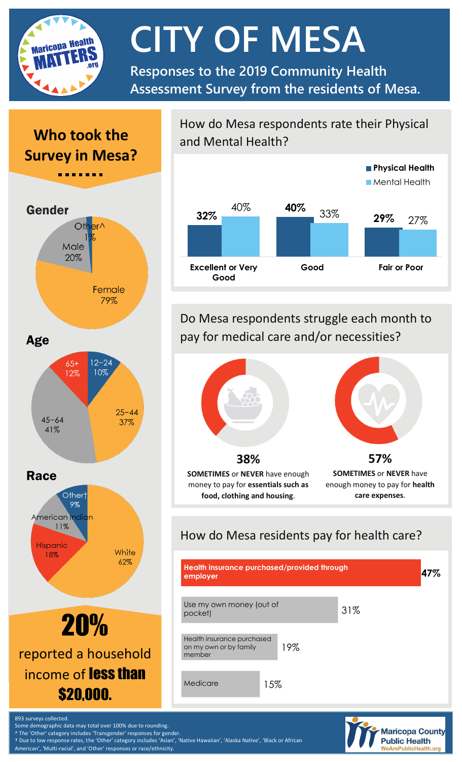

# **CITY OF MESA**

**Responses to the 2019 Community Health Assessment Survey from the residents of Mesa.**

## **Who took the Survey in Mesa?**



 $25 - 44$  $45 - 64$ 37% 41% Race Other†  $9\%$ American India<mark>n</mark>  $11%$ Hispanic White 18% 62%

20% reported a household income of **less than** \$20,000.

How do Mesa respondents rate their Physical and Mental Health?



Do Mesa respondents struggle each month to pay for medical care and/or necessities?



### How do Mesa residents pay for health care?





893 surveys collected. Some demographic data may total over 100% due to rounding.

^ The 'Other' category includes 'Transgender' responses for gender.

† Due to low response rates, the 'Other' category includes 'Asian', 'Native Hawaiian', 'Alaska Native', 'Black or African American', 'Multi-racial', and 'Other' responses or race/ethnicity.